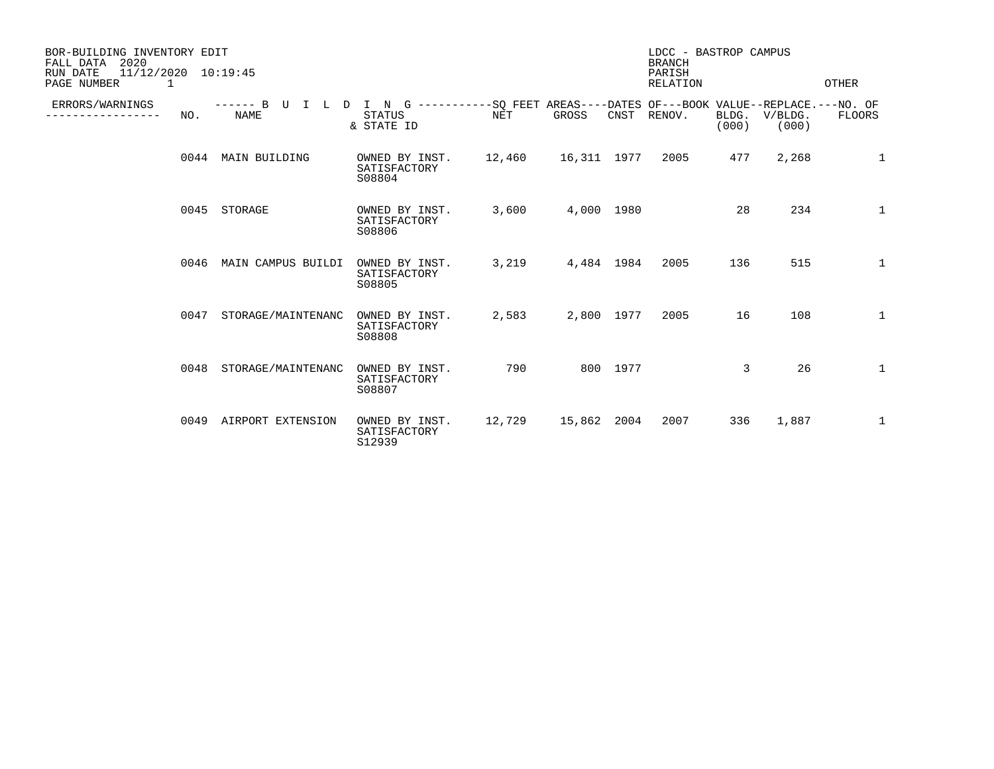| BOR-BUILDING INVENTORY EDIT<br>2020<br>FALL DATA<br>RUN DATE<br>$11/12/2020$ $10:19:45$<br>PAGE NUMBER<br>1 |      |                                             |                                                                                                           |            |             |          | LDCC - BASTROP CAMPUS<br><b>BRANCH</b><br>PARISH<br><b>RELATION</b> |                |                  | OTHER        |
|-------------------------------------------------------------------------------------------------------------|------|---------------------------------------------|-----------------------------------------------------------------------------------------------------------|------------|-------------|----------|---------------------------------------------------------------------|----------------|------------------|--------------|
| ERRORS/WARNINGS                                                                                             | NO.  | $---B$ U I L<br>$\mathbf{D}$<br><b>NAME</b> | I N G -----------SO FEET AREAS----DATES OF---BOOK VALUE--REPLACE.---NO. OF<br><b>STATUS</b><br>& STATE ID | <b>NET</b> | GROSS       | CNST     | RENOV.                                                              | BLDG.<br>(000) | V/BLDG.<br>(000) | FLOORS       |
|                                                                                                             | 0044 | MAIN BUILDING                               | OWNED BY INST.<br>SATISFACTORY<br>S08804                                                                  | 12,460     | 16,311 1977 |          | 2005                                                                | 477            | 2,268            | 1            |
|                                                                                                             | 0045 | STORAGE                                     | OWNED BY INST.<br>SATISFACTORY<br>S08806                                                                  | 3,600      | 4,000 1980  |          |                                                                     | 28             | 234              | $\mathbf{1}$ |
|                                                                                                             | 0046 | MAIN CAMPUS BUILDI                          | OWNED BY INST.<br>SATISFACTORY<br>S08805                                                                  | 3,219      | 4,484 1984  |          | 2005                                                                | 136            | 515              | $\mathbf{1}$ |
|                                                                                                             | 0047 | STORAGE/MAINTENANC                          | OWNED BY INST.<br>SATISFACTORY<br>S08808                                                                  | 2,583      | 2,800 1977  |          | 2005                                                                | 16             | 108              | $\mathbf 1$  |
|                                                                                                             | 0048 | STORAGE/MAINTENANC                          | OWNED BY INST.<br>SATISFACTORY<br>S08807                                                                  | 790        |             | 800 1977 |                                                                     | 3              | 26               | $\mathbf{1}$ |
|                                                                                                             |      | 0049 AIRPORT EXTENSION                      | OWNED BY INST.<br>SATISFACTORY<br>S12939                                                                  | 12,729     | 15,862 2004 |          | 2007                                                                | 336            | 1,887            | 1            |